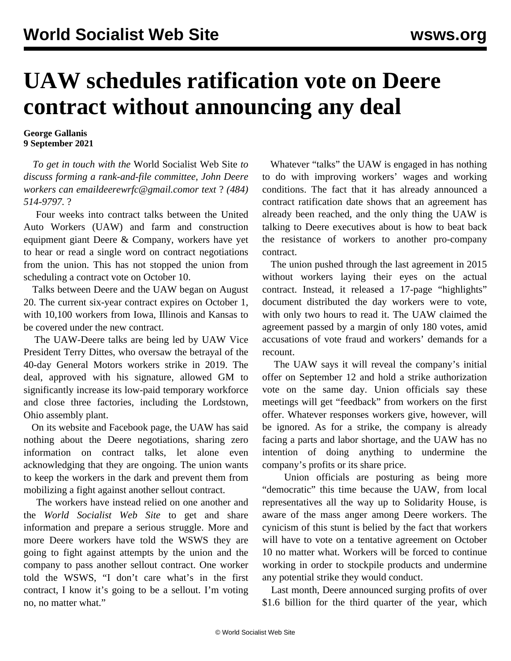## **UAW schedules ratification vote on Deere contract without announcing any deal**

**George Gallanis 9 September 2021**

 *To get in touch with the* World Socialist Web Site *to discuss forming a rank-and-file committee, John Deere workers can emai[ldeerewrfc@gmail.como](mailto:deerewrfc@gmail.com)r text* ? *(484) 514-9797.* ?

 Four weeks into contract talks between the United Auto Workers (UAW) and farm and construction equipment giant Deere & Company, workers have yet to hear or read a single word on contract negotiations from the union. This has not stopped the union from scheduling a contract vote on October 10.

 Talks between Deere and the UAW began on August 20. The current six-year contract expires on October 1, with 10,100 workers from Iowa, Illinois and Kansas to be covered under the new contract.

 The UAW-Deere talks are being led by UAW Vice President Terry Dittes, who oversaw the betrayal of the 40-day General Motors workers strike in 2019. The deal, approved with his signature, allowed GM to significantly increase its low-paid temporary workforce and close three factories, including the Lordstown, Ohio assembly plant.

 On its website and Facebook page, the UAW has said nothing about the Deere negotiations, sharing zero information on contract talks, let alone even acknowledging that they are ongoing. The union wants to keep the workers in the dark and prevent them from mobilizing a fight against another sellout contract.

 The workers have instead relied on one another and the *World Socialist Web Site* to get and share information and prepare a serious struggle. More and more Deere workers have told the WSWS they are going to fight against attempts by the union and the company to pass another sellout contract. One worker told the WSWS, "I don't care what's in the first contract, I know it's going to be a sellout. I'm voting no, no matter what."

 Whatever "talks" the UAW is engaged in has nothing to do with improving workers' wages and working conditions. The fact that it has already announced a contract ratification date shows that an agreement has already been reached, and the only thing the UAW is talking to Deere executives about is how to beat back the resistance of workers to another pro-company contract.

 The union pushed through the last agreement in 2015 without workers laying their eyes on the actual contract. Instead, it released a 17-page "highlights" document distributed the day workers were to vote, with only two hours to read it. The UAW claimed the agreement passed by a margin of only 180 votes, amid accusations of vote fraud and workers' demands for a recount.

 The UAW says it will reveal the company's initial offer on September 12 and hold a strike authorization vote on the same day. Union officials say these meetings will get "feedback" from workers on the first offer. Whatever responses workers give, however, will be ignored. As for a strike, the company is already facing a parts and labor shortage, and the UAW has no intention of doing anything to undermine the company's profits or its share price.

 Union officials are posturing as being more "democratic" this time because the UAW, from local representatives all the way up to Solidarity House, is aware of the mass anger among Deere workers. The cynicism of this stunt is belied by the fact that workers will have to vote on a tentative agreement on October 10 no matter what. Workers will be forced to continue working in order to stockpile products and undermine any potential strike they would conduct.

 Last month, Deere announced surging profits of over \$1.6 billion for the third quarter of the year, which